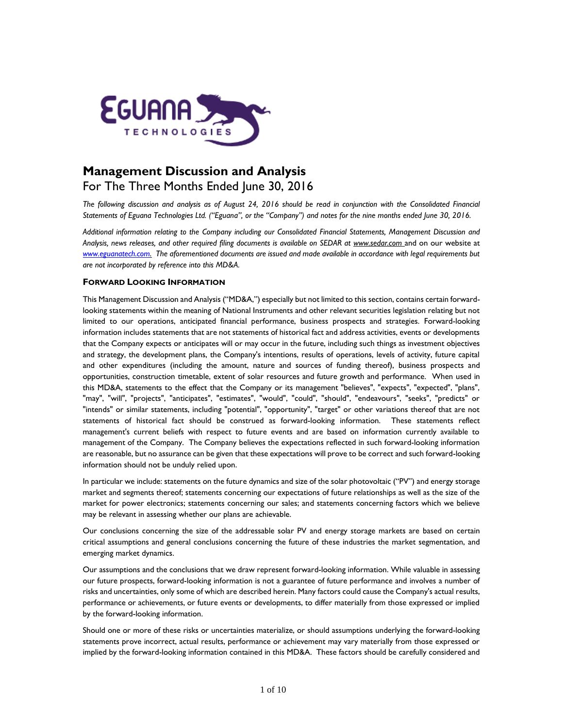

# **Management Discussion and Analysis** For The Three Months Ended June 30, 2016

*The following discussion and analysis as of August 24, 2016 should be read in conjunction with the Consolidated Financial Statements of Eguana Technologies Ltd. ("Eguana", or the "Company") and notes for the nine months ended June 30, 2016.*

*Additional information relating to the Company including our Consolidated Financial Statements, Management Discussion and Analysis, news releases, and other required filing documents is available on SEDAR at [www.sedar.com](http://www.sedar.com/)* and on our website at *[www.eguanatech.com.](http://www.eguanatech.com/) The aforementioned documents are issued and made available in accordance with legal requirements but are not incorporated by reference into this MD&A.*

# **FORWARD LOOKING INFORMATION**

This Management Discussion and Analysis ("MD&A,") especially but not limited to this section, contains certain forwardlooking statements within the meaning of National Instruments and other relevant securities legislation relating but not limited to our operations, anticipated financial performance, business prospects and strategies. Forward-looking information includes statements that are not statements of historical fact and address activities, events or developments that the Company expects or anticipates will or may occur in the future, including such things as investment objectives and strategy, the development plans, the Company's intentions, results of operations, levels of activity, future capital and other expenditures (including the amount, nature and sources of funding thereof), business prospects and opportunities, construction timetable, extent of solar resources and future growth and performance. When used in this MD&A, statements to the effect that the Company or its management "believes", "expects", "expected", "plans", "may", "will", "projects", "anticipates", "estimates", "would", "could", "should", "endeavours", "seeks", "predicts" or "intends" or similar statements, including "potential", "opportunity", "target" or other variations thereof that are not statements of historical fact should be construed as forward-looking information. These statements reflect management's current beliefs with respect to future events and are based on information currently available to management of the Company. The Company believes the expectations reflected in such forward-looking information are reasonable, but no assurance can be given that these expectations will prove to be correct and such forward-looking information should not be unduly relied upon.

In particular we include: statements on the future dynamics and size of the solar photovoltaic ("PV") and energy storage market and segments thereof; statements concerning our expectations of future relationships as well as the size of the market for power electronics; statements concerning our sales; and statements concerning factors which we believe may be relevant in assessing whether our plans are achievable.

Our conclusions concerning the size of the addressable solar PV and energy storage markets are based on certain critical assumptions and general conclusions concerning the future of these industries the market segmentation, and emerging market dynamics.

Our assumptions and the conclusions that we draw represent forward-looking information. While valuable in assessing our future prospects, forward-looking information is not a guarantee of future performance and involves a number of risks and uncertainties, only some of which are described herein. Many factors could cause the Company's actual results, performance or achievements, or future events or developments, to differ materially from those expressed or implied by the forward-looking information.

Should one or more of these risks or uncertainties materialize, or should assumptions underlying the forward-looking statements prove incorrect, actual results, performance or achievement may vary materially from those expressed or implied by the forward-looking information contained in this MD&A. These factors should be carefully considered and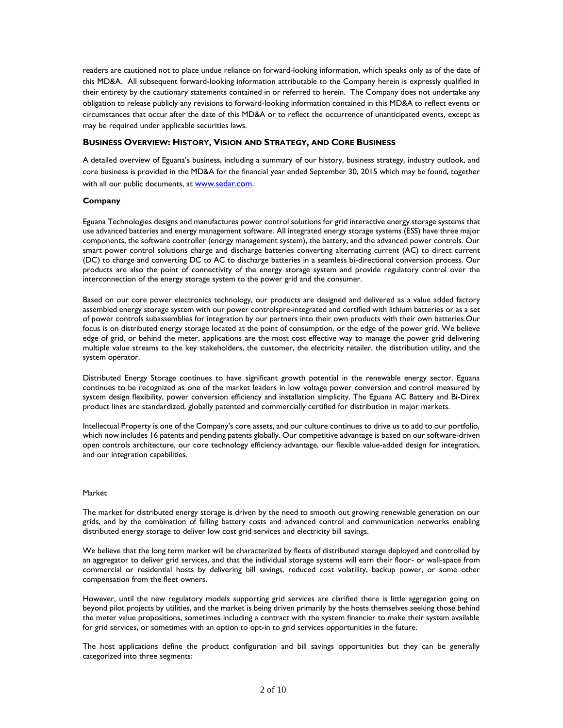readers are cautioned not to place undue reliance on forward-looking information, which speaks only as of the date of this MD&A. All subsequent forward-looking information attributable to the Company herein is expressly qualified in their entirety by the cautionary statements contained in or referred to herein. The Company does not undertake any obligation to release publicly any revisions to forward-looking information contained in this MD&A to reflect events or circumstances that occur after the date of this MD&A or to reflect the occurrence of unanticipated events, except as may be required under applicable securities laws.

# **BUSINESS OVERVIEW: HISTORY, VISION AND STRATEGY, AND CORE BUSINESS**

A detailed overview of Eguana's business, including a summary of our history, business strategy, industry outlook, and core business is provided in the MD&A for the financial year ended September 30, 2015 which may be found, together with all our public documents, at www.sedar.com.

# **Company**

Eguana Technologies designs and manufactures power control solutions for grid interactive energy storage systems that use advanced batteries and energy management software. All integrated energy storage systems (ESS) have three major components, the software controller (energy management system), the battery, and the advanced power controls. Our smart power control solutions charge and discharge batteries converting alternating current (AC) to direct current (DC) to charge and converting DC to AC to discharge batteries in a seamless bi-directional conversion process. Our products are also the point of connectivity of the energy storage system and provide regulatory control over the interconnection of the energy storage system to the power grid and the consumer.

Based on our core power electronics technology, our products are designed and delivered as a value added factory assembled energy storage system with our power controlspre-integrated and certified with lithium batteries or as a set of power controls subassemblies for integration by our partners into their own products with their own batteries.Our focus is on distributed energy storage located at the point of consumption, or the edge of the power grid. We believe edge of grid, or behind the meter, applications are the most cost effective way to manage the power grid delivering multiple value streams to the key stakeholders, the customer, the electricity retailer, the distribution utility, and the system operator.

Distributed Energy Storage continues to have significant growth potential in the renewable energy sector. Eguana continues to be recognized as one of the market leaders in low voltage power conversion and control measured by system design flexibility, power conversion efficiency and installation simplicity. The Eguana AC Battery and Bi-Direx product lines are standardized, globally patented and commercially certified for distribution in major markets.

Intellectual Property is one of the Company's core assets, and our culture continues to drive us to add to our portfolio, which now includes 16 patents and pending patents globally. Our competitive advantage is based on our software-driven open controls architecture, our core technology efficiency advantage, our flexible value-added design for integration, and our integration capabilities.

#### Market

The market for distributed energy storage is driven by the need to smooth out growing renewable generation on our grids, and by the combination of falling battery costs and advanced control and communication networks enabling distributed energy storage to deliver low cost grid services and electricity bill savings.

We believe that the long term market will be characterized by fleets of distributed storage deployed and controlled by an aggregator to deliver grid services, and that the individual storage systems will earn their floor- or wall-space from commercial or residential hosts by delivering bill savings, reduced cost volatility, backup power, or some other compensation from the fleet owners.

However, until the new regulatory models supporting grid services are clarified there is little aggregation going on beyond pilot projects by utilities, and the market is being driven primarily by the hosts themselves seeking those behind the meter value propositions, sometimes including a contract with the system financier to make their system available for grid services, or sometimes with an option to opt-in to grid services opportunities in the future.

The host applications define the product configuration and bill savings opportunities but they can be generally categorized into three segments: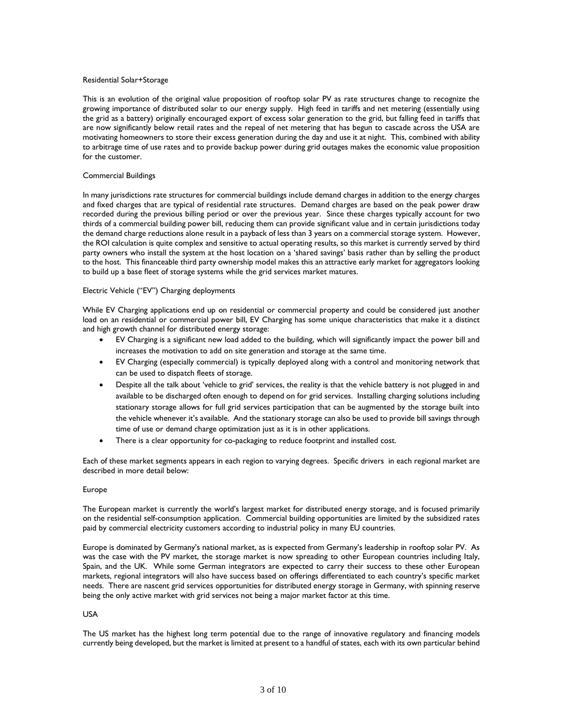#### Residential Solar+Storage

This is an evolution of the original value proposition of rooftop solar PV as rate structures change to recognize the growing importance of distributed solar to our energy supply. High feed in tariffs and net metering (essentially using the grid as a battery) originally encouraged export of excess solar generation to the grid, but falling feed in tariffs that are now significantly below retail rates and the repeal of net metering that has begun to cascade across the USA are motivating homeowners to store their excess generation during the day and use it at night. This, combined with ability to arbitrage time of use rates and to provide backup power during grid outages makes the economic value proposition for the customer.

#### Commercial Buildings

In many jurisdictions rate structures for commercial buildings include demand charges in addition to the energy charges and fixed charges that are typical of residential rate structures. Demand charges are based on the peak power draw recorded during the previous billing period or over the previous year. Since these charges typically account for two thirds of a commercial building power bill, reducing them can provide significant value and in certain jurisdictions today the demand charge reductions alone result in a payback of less than 3 years on a commercial storage system. However, the ROI calculation is quite complex and sensitive to actual operating results, so this market is currently served by third party owners who install the system at the host location on a 'shared savings' basis rather than by selling the product to the host. This financeable third party ownership model makes this an attractive early market for aggregators looking to build up a base fleet of storage systems while the grid services market matures.

#### Electric Vehicle ("EV") Charging deployments

While EV Charging applications end up on residential or commercial property and could be considered just another load on an residential or commercial power bill, EV Charging has some unique characteristics that make it a distinct and high growth channel for distributed energy storage:

- EV Charging is a significant new load added to the building, which will significantly impact the power bill and increases the motivation to add on site generation and storage at the same time.
- EV Charging (especially commercial) is typically deployed along with a control and monitoring network that can be used to dispatch fleets of storage.
- Despite all the talk about 'vehicle to grid' services, the reality is that the vehicle battery is not plugged in and available to be discharged often enough to depend on for grid services. Installing charging solutions including stationary storage allows for full grid services participation that can be augmented by the storage built into the vehicle whenever it's available. And the stationary storage can also be used to provide bill savings through time of use or demand charge optimization just as it is in other applications.
- There is a clear opportunity for co-packaging to reduce footprint and installed cost.

Each of these market segments appears in each region to varying degrees. Specific drivers in each regional market are described in more detail below:

#### Europe

The European market is currently the world's largest market for distributed energy storage, and is focused primarily on the residential self-consumption application. Commercial building opportunities are limited by the subsidized rates paid by commercial electricity customers according to industrial policy in many EU countries.

Europe is dominated by Germany's national market, as is expected from Germany's leadership in rooftop solar PV. As was the case with the PV market, the storage market is now spreading to other European countries including Italy, Spain, and the UK. While some German integrators are expected to carry their success to these other European markets, regional integrators will also have success based on offerings differentiated to each country's specific market needs. There are nascent grid services opportunities for distributed energy storage in Germany, with spinning reserve being the only active market with grid services not being a major market factor at this time.

#### USA

The US market has the highest long term potential due to the range of innovative regulatory and financing models currently being developed, but the market is limited at present to a handful of states, each with its own particular behind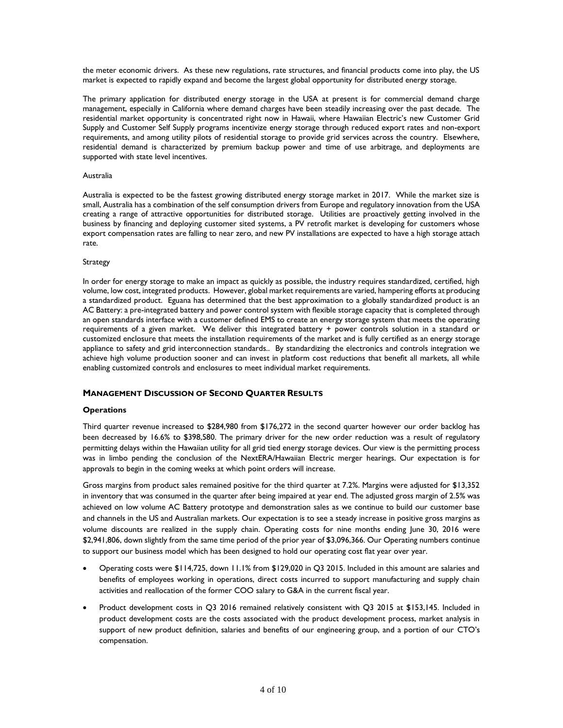the meter economic drivers. As these new regulations, rate structures, and financial products come into play, the US market is expected to rapidly expand and become the largest global opportunity for distributed energy storage.

The primary application for distributed energy storage in the USA at present is for commercial demand charge management, especially in California where demand charges have been steadily increasing over the past decade. The residential market opportunity is concentrated right now in Hawaii, where Hawaiian Electric's new Customer Grid Supply and Customer Self Supply programs incentivize energy storage through reduced export rates and non-export requirements, and among utility pilots of residential storage to provide grid services across the country. Elsewhere, residential demand is characterized by premium backup power and time of use arbitrage, and deployments are supported with state level incentives.

#### Australia

Australia is expected to be the fastest growing distributed energy storage market in 2017. While the market size is small, Australia has a combination of the self consumption drivers from Europe and regulatory innovation from the USA creating a range of attractive opportunities for distributed storage. Utilities are proactively getting involved in the business by financing and deploying customer sited systems, a PV retrofit market is developing for customers whose export compensation rates are falling to near zero, and new PV installations are expected to have a high storage attach rate.

#### **Strategy**

In order for energy storage to make an impact as quickly as possible, the industry requires standardized, certified, high volume, low cost, integrated products. However, global market requirements are varied, hampering efforts at producing a standardized product. Eguana has determined that the best approximation to a globally standardized product is an AC Battery: a pre-integrated battery and power control system with flexible storage capacity that is completed through an open standards interface with a customer defined EMS to create an energy storage system that meets the operating requirements of a given market. We deliver this integrated battery + power controls solution in a standard or customized enclosure that meets the installation requirements of the market and is fully certified as an energy storage appliance to safety and grid interconnection standards.. By standardizing the electronics and controls integration we achieve high volume production sooner and can invest in platform cost reductions that benefit all markets, all while enabling customized controls and enclosures to meet individual market requirements.

# **MANAGEMENT DISCUSSION OF SECOND QUARTER RESULTS**

#### **Operations**

Third quarter revenue increased to \$284,980 from \$176,272 in the second quarter however our order backlog has been decreased by 16.6% to \$398,580. The primary driver for the new order reduction was a result of regulatory permitting delays within the Hawaiian utility for all grid tied energy storage devices. Our view is the permitting process was in limbo pending the conclusion of the NextERA/Hawaiian Electric merger hearings. Our expectation is for approvals to begin in the coming weeks at which point orders will increase.

Gross margins from product sales remained positive for the third quarter at 7.2%. Margins were adjusted for \$13,352 in inventory that was consumed in the quarter after being impaired at year end. The adjusted gross margin of 2.5% was achieved on low volume AC Battery prototype and demonstration sales as we continue to build our customer base and channels in the US and Australian markets. Our expectation is to see a steady increase in positive gross margins as volume discounts are realized in the supply chain. Operating costs for nine months ending June 30, 2016 were \$2,941,806, down slightly from the same time period of the prior year of \$3,096,366. Our Operating numbers continue to support our business model which has been designed to hold our operating cost flat year over year.

- Operating costs were \$114,725, down 11.1% from \$129,020 in Q3 2015. Included in this amount are salaries and benefits of employees working in operations, direct costs incurred to support manufacturing and supply chain activities and reallocation of the former COO salary to G&A in the current fiscal year.
- Product development costs in Q3 2016 remained relatively consistent with Q3 2015 at \$153,145. Included in product development costs are the costs associated with the product development process, market analysis in support of new product definition, salaries and benefits of our engineering group, and a portion of our CTO's compensation.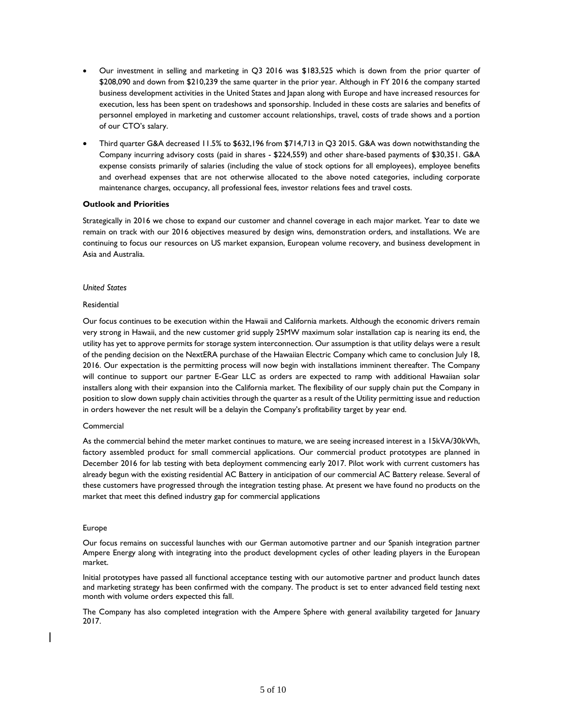- Our investment in selling and marketing in Q3 2016 was \$183,525 which is down from the prior quarter of \$208,090 and down from \$210,239 the same quarter in the prior year. Although in FY 2016 the company started business development activities in the United States and Japan along with Europe and have increased resources for execution, less has been spent on tradeshows and sponsorship. Included in these costs are salaries and benefits of personnel employed in marketing and customer account relationships, travel, costs of trade shows and a portion of our CTO's salary.
- Third quarter G&A decreased 11.5% to \$632,196 from \$714,713 in Q3 2015. G&A was down notwithstanding the Company incurring advisory costs (paid in shares - \$224,559) and other share-based payments of \$30,351. G&A expense consists primarily of salaries (including the value of stock options for all employees), employee benefits and overhead expenses that are not otherwise allocated to the above noted categories, including corporate maintenance charges, occupancy, all professional fees, investor relations fees and travel costs.

## **Outlook and Priorities**

Strategically in 2016 we chose to expand our customer and channel coverage in each major market. Year to date we remain on track with our 2016 objectives measured by design wins, demonstration orders, and installations. We are continuing to focus our resources on US market expansion, European volume recovery, and business development in Asia and Australia.

### *United States*

#### **Residential**

Our focus continues to be execution within the Hawaii and California markets. Although the economic drivers remain very strong in Hawaii, and the new customer grid supply 25MW maximum solar installation cap is nearing its end, the utility has yet to approve permits for storage system interconnection. Our assumption is that utility delays were a result of the pending decision on the NextERA purchase of the Hawaiian Electric Company which came to conclusion July 18, 2016. Our expectation is the permitting process will now begin with installations imminent thereafter. The Company will continue to support our partner E-Gear LLC as orders are expected to ramp with additional Hawaiian solar installers along with their expansion into the California market. The flexibility of our supply chain put the Company in position to slow down supply chain activities through the quarter as a result of the Utility permitting issue and reduction in orders however the net result will be a delayin the Company's profitability target by year end.

#### Commercial

As the commercial behind the meter market continues to mature, we are seeing increased interest in a 15kVA/30kWh, factory assembled product for small commercial applications. Our commercial product prototypes are planned in December 2016 for lab testing with beta deployment commencing early 2017. Pilot work with current customers has already begun with the existing residential AC Battery in anticipation of our commercial AC Battery release. Several of these customers have progressed through the integration testing phase. At present we have found no products on the market that meet this defined industry gap for commercial applications

#### Europe

Our focus remains on successful launches with our German automotive partner and our Spanish integration partner Ampere Energy along with integrating into the product development cycles of other leading players in the European market.

Initial prototypes have passed all functional acceptance testing with our automotive partner and product launch dates and marketing strategy has been confirmed with the company. The product is set to enter advanced field testing next month with volume orders expected this fall.

The Company has also completed integration with the Ampere Sphere with general availability targeted for January 2017.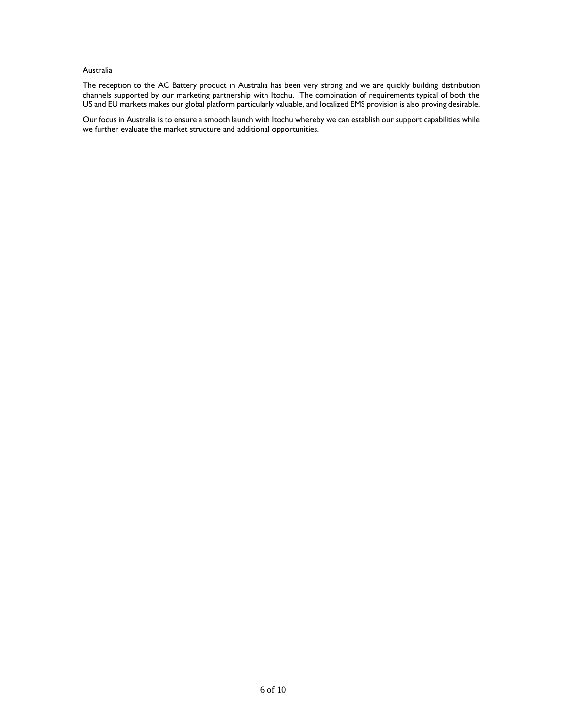## Australia

The reception to the AC Battery product in Australia has been very strong and we are quickly building distribution channels supported by our marketing partnership with Itochu. The combination of requirements typical of both the US and EU markets makes our global platform particularly valuable, and localized EMS provision is also proving desirable.

Our focus in Australia is to ensure a smooth launch with Itochu whereby we can establish our support capabilities while we further evaluate the market structure and additional opportunities.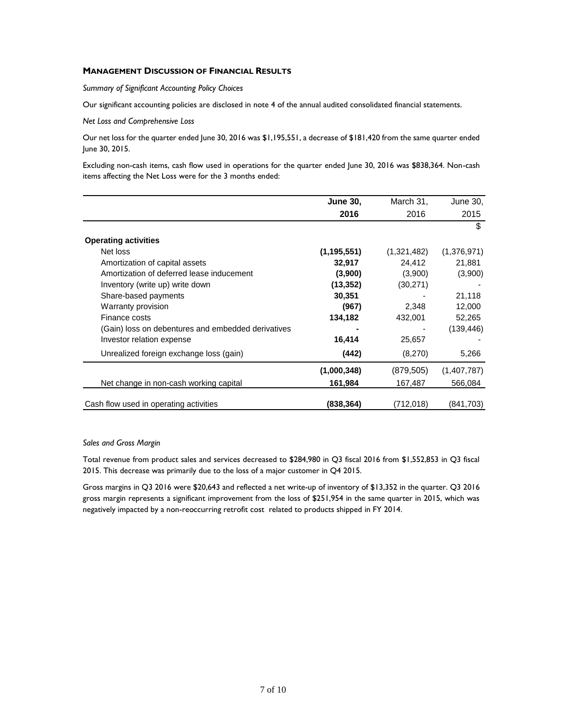# **MANAGEMENT DISCUSSION OF FINANCIAL RESULTS**

*Summary of Significant Accounting Policy Choices* 

Our significant accounting policies are disclosed in note 4 of the annual audited consolidated financial statements.

*Net Loss and Comprehensive Loss* 

Our net loss for the quarter ended June 30, 2016 was \$1,195,551, a decrease of \$181,420 from the same quarter ended June 30, 2015.

Excluding non-cash items, cash flow used in operations for the quarter ended June 30, 2016 was \$838,364. Non-cash items affecting the Net Loss were for the 3 months ended:

|                                                    | <b>June 30,</b> | March 31,   | June 30,    |
|----------------------------------------------------|-----------------|-------------|-------------|
|                                                    | 2016            | 2016        | 2015        |
|                                                    |                 |             | \$          |
| <b>Operating activities</b>                        |                 |             |             |
| Net loss                                           | (1, 195, 551)   | (1,321,482) | (1,376,971) |
| Amortization of capital assets                     | 32,917          | 24,412      | 21,881      |
| Amortization of deferred lease inducement          | (3,900)         | (3,900)     | (3,900)     |
| Inventory (write up) write down                    | (13, 352)       | (30, 271)   |             |
| Share-based payments                               | 30,351          |             | 21,118      |
| Warranty provision                                 | (967)           | 2,348       | 12,000      |
| Finance costs                                      | 134,182         | 432,001     | 52,265      |
| (Gain) loss on debentures and embedded derivatives |                 |             | (139, 446)  |
| Investor relation expense                          | 16,414          | 25,657      |             |
| Unrealized foreign exchange loss (gain)            | (442)           | (8,270)     | 5,266       |
|                                                    | (1,000,348)     | (879, 505)  | (1,407,787) |
| Net change in non-cash working capital             | 161,984         | 167,487     | 566,084     |
| Cash flow used in operating activities             | (838, 364)      | (712, 018)  | (841,703)   |

#### *Sales and Gross Margin*

Total revenue from product sales and services decreased to \$284,980 in Q3 fiscal 2016 from \$1,552,853 in Q3 fiscal 2015. This decrease was primarily due to the loss of a major customer in Q4 2015.

Gross margins in Q3 2016 were \$20,643 and reflected a net write-up of inventory of \$13,352 in the quarter. Q3 2016 gross margin represents a significant improvement from the loss of \$251,954 in the same quarter in 2015, which was negatively impacted by a non-reoccurring retrofit cost related to products shipped in FY 2014.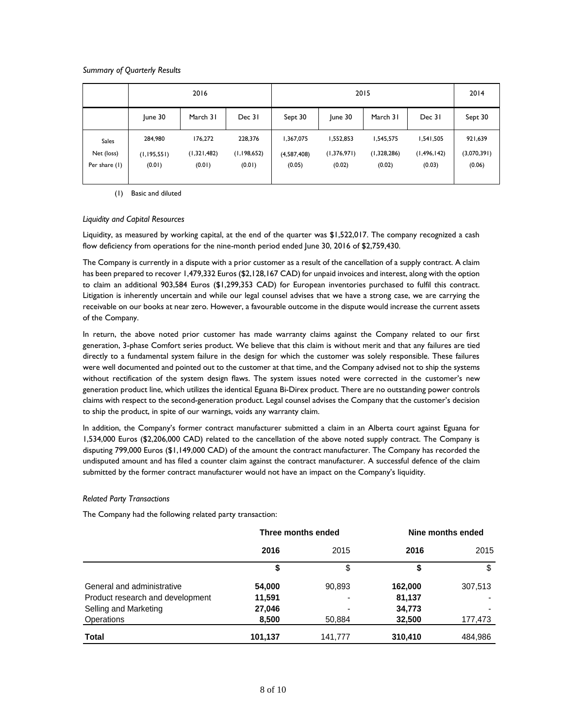# *Summary of Quarterly Results*

|                                             | 2016                               |                                  | 2015                             |                                    |                                    |                                    | 2014                                 |                                  |
|---------------------------------------------|------------------------------------|----------------------------------|----------------------------------|------------------------------------|------------------------------------|------------------------------------|--------------------------------------|----------------------------------|
|                                             | June 30                            | March 31                         | Dec 31                           | Sept 30                            | June 30                            | March 31                           | Dec 31                               | Sept 30                          |
| <b>Sales</b><br>Net (loss)<br>Per share (1) | 284,980<br>(1, 195, 551)<br>(0.01) | 176,272<br>(1,321,482)<br>(0.01) | 228,376<br>(1,198,652)<br>(0.01) | 1,367,075<br>(4,587,408)<br>(0.05) | 1,552,853<br>(1,376,971)<br>(0.02) | 1,545,575<br>(1,328,286)<br>(0.02) | 1,541,505<br>(1, 496, 142)<br>(0.03) | 921,639<br>(3,070,391)<br>(0.06) |

(1) Basic and diluted

# *Liquidity and Capital Resources*

Liquidity, as measured by working capital, at the end of the quarter was \$1,522,017. The company recognized a cash flow deficiency from operations for the nine-month period ended June 30, 2016 of \$2,759,430.

The Company is currently in a dispute with a prior customer as a result of the cancellation of a supply contract. A claim has been prepared to recover 1,479,332 Euros (\$2,128,167 CAD) for unpaid invoices and interest, along with the option to claim an additional 903,584 Euros (\$1,299,353 CAD) for European inventories purchased to fulfil this contract. Litigation is inherently uncertain and while our legal counsel advises that we have a strong case, we are carrying the receivable on our books at near zero. However, a favourable outcome in the dispute would increase the current assets of the Company.

In return, the above noted prior customer has made warranty claims against the Company related to our first generation, 3-phase Comfort series product. We believe that this claim is without merit and that any failures are tied directly to a fundamental system failure in the design for which the customer was solely responsible. These failures were well documented and pointed out to the customer at that time, and the Company advised not to ship the systems without rectification of the system design flaws. The system issues noted were corrected in the customer's new generation product line, which utilizes the identical Eguana Bi-Direx product. There are no outstanding power controls claims with respect to the second-generation product. Legal counsel advises the Company that the customer's decision to ship the product, in spite of our warnings, voids any warranty claim.

In addition, the Company's former contract manufacturer submitted a claim in an Alberta court against Eguana for 1,534,000 Euros (\$2,206,000 CAD) related to the cancellation of the above noted supply contract. The Company is disputing 799,000 Euros (\$1,149,000 CAD) of the amount the contract manufacturer. The Company has recorded the undisputed amount and has filed a counter claim against the contract manufacturer. A successful defence of the claim submitted by the former contract manufacturer would not have an impact on the Company's liquidity.

# *Related Party Transactions*

The Company had the following related party transaction:

|                                  | Three months ended |                          | Nine months ended |         |
|----------------------------------|--------------------|--------------------------|-------------------|---------|
|                                  | 2016               | 2015                     | 2016              | 2015    |
|                                  | \$                 | \$                       | \$                | S       |
| General and administrative       | 54,000             | 90,893                   | 162,000           | 307,513 |
| Product research and development | 11,591             | $\overline{\phantom{a}}$ | 81,137            |         |
| Selling and Marketing            | 27,046             |                          | 34,773            |         |
| <b>Operations</b>                | 8,500              | 50,884                   | 32,500            | 177,473 |
| Total                            | 101,137            | 141,777                  | 310,410           | 484,986 |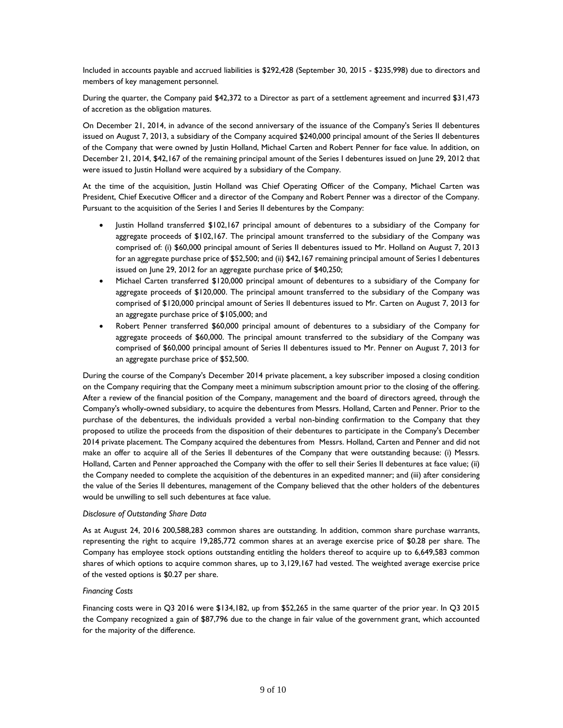Included in accounts payable and accrued liabilities is \$292,428 (September 30, 2015 - \$235,998) due to directors and members of key management personnel.

During the quarter, the Company paid \$42,372 to a Director as part of a settlement agreement and incurred \$31,473 of accretion as the obligation matures.

On December 21, 2014, in advance of the second anniversary of the issuance of the Company's Series II debentures issued on August 7, 2013, a subsidiary of the Company acquired \$240,000 principal amount of the Series II debentures of the Company that were owned by Justin Holland, Michael Carten and Robert Penner for face value. In addition, on December 21, 2014, \$42,167 of the remaining principal amount of the Series I debentures issued on June 29, 2012 that were issued to Justin Holland were acquired by a subsidiary of the Company.

At the time of the acquisition, Justin Holland was Chief Operating Officer of the Company, Michael Carten was President, Chief Executive Officer and a director of the Company and Robert Penner was a director of the Company. Pursuant to the acquisition of the Series I and Series II debentures by the Company:

- Justin Holland transferred \$102,167 principal amount of debentures to a subsidiary of the Company for aggregate proceeds of \$102,167. The principal amount transferred to the subsidiary of the Company was comprised of: (i) \$60,000 principal amount of Series II debentures issued to Mr. Holland on August 7, 2013 for an aggregate purchase price of \$52,500; and (ii) \$42,167 remaining principal amount of Series I debentures issued on June 29, 2012 for an aggregate purchase price of \$40,250;
- Michael Carten transferred \$120,000 principal amount of debentures to a subsidiary of the Company for aggregate proceeds of \$120,000. The principal amount transferred to the subsidiary of the Company was comprised of \$120,000 principal amount of Series II debentures issued to Mr. Carten on August 7, 2013 for an aggregate purchase price of \$105,000; and
- Robert Penner transferred \$60,000 principal amount of debentures to a subsidiary of the Company for aggregate proceeds of \$60,000. The principal amount transferred to the subsidiary of the Company was comprised of \$60,000 principal amount of Series II debentures issued to Mr. Penner on August 7, 2013 for an aggregate purchase price of \$52,500.

During the course of the Company's December 2014 private placement, a key subscriber imposed a closing condition on the Company requiring that the Company meet a minimum subscription amount prior to the closing of the offering. After a review of the financial position of the Company, management and the board of directors agreed, through the Company's wholly-owned subsidiary, to acquire the debentures from Messrs. Holland, Carten and Penner. Prior to the purchase of the debentures, the individuals provided a verbal non-binding confirmation to the Company that they proposed to utilize the proceeds from the disposition of their debentures to participate in the Company's December 2014 private placement. The Company acquired the debentures from Messrs. Holland, Carten and Penner and did not make an offer to acquire all of the Series II debentures of the Company that were outstanding because: (i) Messrs. Holland, Carten and Penner approached the Company with the offer to sell their Series II debentures at face value; (ii) the Company needed to complete the acquisition of the debentures in an expedited manner; and (iii) after considering the value of the Series II debentures, management of the Company believed that the other holders of the debentures would be unwilling to sell such debentures at face value.

# *Disclosure of Outstanding Share Data*

As at August 24, 2016 200,588,283 common shares are outstanding. In addition, common share purchase warrants, representing the right to acquire 19,285,772 common shares at an average exercise price of \$0.28 per share. The Company has employee stock options outstanding entitling the holders thereof to acquire up to 6,649,583 common shares of which options to acquire common shares, up to 3,129,167 had vested. The weighted average exercise price of the vested options is \$0.27 per share.

# *Financing Costs*

Financing costs were in Q3 2016 were \$134,182, up from \$52,265 in the same quarter of the prior year. In Q3 2015 the Company recognized a gain of \$87,796 due to the change in fair value of the government grant, which accounted for the majority of the difference.